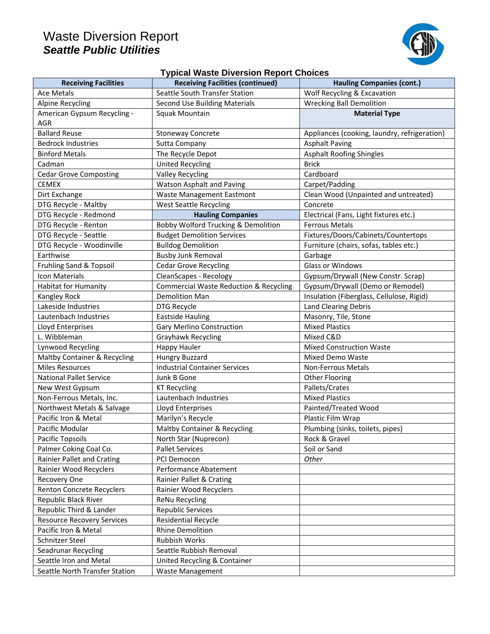## Waste Diversion Report *Seattle Public Utilities*



## **Typical Waste Diversion Report Choices**

| <b>Receiving Facilities</b>       | <b>Receiving Facilities (continued)</b>           | <b>Hauling Companies (cont.)</b>             |
|-----------------------------------|---------------------------------------------------|----------------------------------------------|
| <b>Ace Metals</b>                 | Seattle South Transfer Station                    | Wolf Recycling & Excavation                  |
| <b>Alpine Recycling</b>           | <b>Second Use Building Materials</b>              | <b>Wrecking Ball Demolition</b>              |
| American Gypsum Recycling -       | Squak Mountain                                    | <b>Material Type</b>                         |
| <b>AGR</b>                        |                                                   |                                              |
| <b>Ballard Reuse</b>              | <b>Stoneway Concrete</b>                          | Appliances (cooking, laundry, refrigeration) |
| <b>Bedrock Industries</b>         | Sutta Company                                     | <b>Asphalt Paving</b>                        |
| <b>Binford Metals</b>             | The Recycle Depot                                 | <b>Asphalt Roofing Shingles</b>              |
| Cadman                            | <b>United Recycling</b>                           | <b>Brick</b>                                 |
| <b>Cedar Grove Composting</b>     | <b>Valley Recycling</b>                           | Cardboard                                    |
| <b>CEMEX</b>                      | Watson Asphalt and Paving                         | Carpet/Padding                               |
| Dirt Exchange                     | <b>Waste Management Eastmont</b>                  | Clean Wood (Unpainted and untreated)         |
| DTG Recycle - Maltby              | <b>West Seattle Recycling</b>                     | Concrete                                     |
| DTG Recycle - Redmond             | <b>Hauling Companies</b>                          | Electrical (Fans, Light fixtures etc.)       |
| DTG Recycle - Renton              | Bobby Wolford Trucking & Demolition               | <b>Ferrous Metals</b>                        |
| DTG Recycle - Seattle             | <b>Budget Demolition Services</b>                 | Fixtures/Doors/Cabinets/Countertops          |
| DTG Recycle - Woodinville         | <b>Bulldog Demolition</b>                         | Furniture (chairs, sofas, tables etc.)       |
| Earthwise                         | <b>Busby Junk Removal</b>                         | Garbage                                      |
| Fruhling Sand & Topsoil           | <b>Cedar Grove Recycling</b>                      | Glass or Windows                             |
| Icon Materials                    | CleanScapes - Recology                            | Gypsum/Drywall (New Constr. Scrap)           |
| <b>Habitat for Humanity</b>       | <b>Commercial Waste Reduction &amp; Recycling</b> | Gypsum/Drywall (Demo or Remodel)             |
| Kangley Rock                      | <b>Demolition Man</b>                             | Insulation (Fiberglass, Cellulose, Rigid)    |
| Lakeside Industries               | DTG Recycle                                       | <b>Land Clearing Debris</b>                  |
| Lautenbach Industries             | <b>Eastside Hauling</b>                           | Masonry, Tile, Stone                         |
| Lloyd Enterprises                 | <b>Gary Merlino Construction</b>                  | <b>Mixed Plastics</b>                        |
| L. Wibbleman                      | Grayhawk Recycling                                | Mixed C&D                                    |
| Lynwood Recycling                 | <b>Happy Hauler</b>                               | <b>Mixed Construction Waste</b>              |
| Maltby Container & Recycling      | <b>Hungry Buzzard</b>                             | Mixed Demo Waste                             |
| <b>Miles Resources</b>            | <b>Industrial Container Services</b>              | Non-Ferrous Metals                           |
| <b>National Pallet Service</b>    | Junk B Gone                                       | <b>Other Flooring</b>                        |
| New West Gypsum                   | <b>KT Recycling</b>                               | Pallets/Crates                               |
| Non-Ferrous Metals, Inc.          | Lautenbach Industries                             | <b>Mixed Plastics</b>                        |
| Northwest Metals & Salvage        | Lloyd Enterprises                                 | Painted/Treated Wood                         |
| Pacific Iron & Metal              | Marilyn's Recycle                                 | Plastic Film Wrap                            |
| Pacific Modular                   | Maltby Container & Recycling                      | Plumbing (sinks, toilets, pipes)             |
| Pacific Topsoils                  | North Star (Nuprecon)                             | Rock & Gravel                                |
| Palmer Coking Coal Co.            | <b>Pallet Services</b>                            | Soil or Sand                                 |
| Rainier Pallet and Crating        | PCI Democon                                       | Other                                        |
| Rainier Wood Recyclers            | Performance Abatement                             |                                              |
| Recovery One                      | Rainier Pallet & Crating                          |                                              |
| Renton Concrete Recyclers         | Rainier Wood Recyclers                            |                                              |
| Republic Black River              | <b>ReNu Recycling</b>                             |                                              |
| Republic Third & Lander           | <b>Republic Services</b>                          |                                              |
| <b>Resource Recovery Services</b> | <b>Residential Recycle</b>                        |                                              |
| Pacific Iron & Metal              | <b>Rhine Demolition</b>                           |                                              |
| Schnitzer Steel                   | Rubbish Works                                     |                                              |
| Seadrunar Recycling               | Seattle Rubbish Removal                           |                                              |
| Seattle Iron and Metal            | United Recycling & Container                      |                                              |
| Seattle North Transfer Station    | Waste Management                                  |                                              |